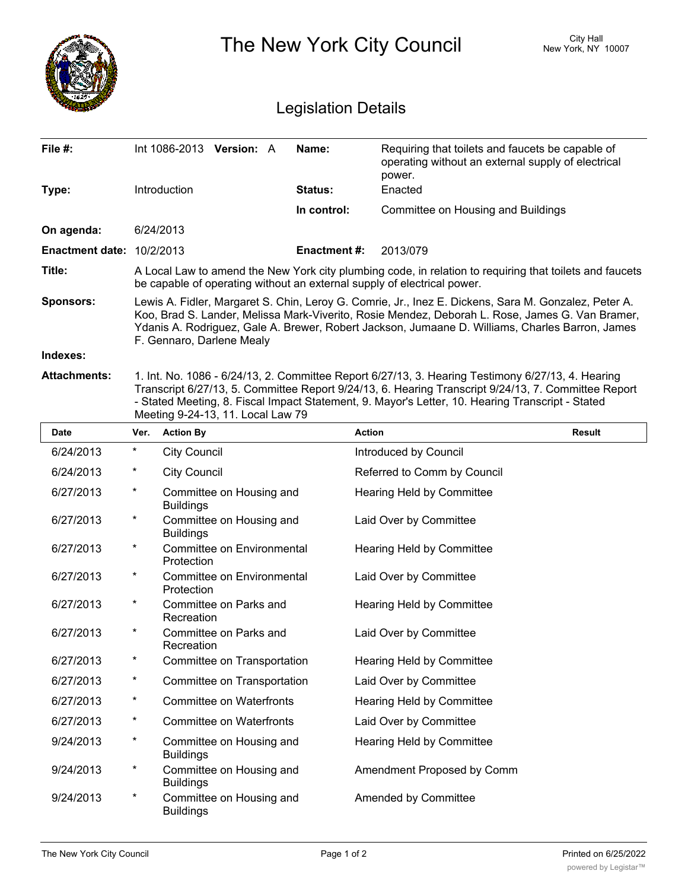

| <b>Date</b> | Ver.     | <b>Action By</b>                             | <b>Action</b>               | <b>Result</b> |
|-------------|----------|----------------------------------------------|-----------------------------|---------------|
| 6/24/2013   | $^\star$ | <b>City Council</b>                          | Introduced by Council       |               |
| 6/24/2013   | $^\star$ | <b>City Council</b>                          | Referred to Comm by Council |               |
| 6/27/2013   | $^\star$ | Committee on Housing and<br><b>Buildings</b> | Hearing Held by Committee   |               |
| 6/27/2013   | $\star$  | Committee on Housing and<br><b>Buildings</b> | Laid Over by Committee      |               |
| 6/27/2013   | $^\star$ | Committee on Environmental<br>Protection     | Hearing Held by Committee   |               |
| 6/27/2013   | $^\star$ | Committee on Environmental<br>Protection     | Laid Over by Committee      |               |
| 6/27/2013   | $^\star$ | Committee on Parks and<br>Recreation         | Hearing Held by Committee   |               |
| 6/27/2013   | $^\star$ | Committee on Parks and<br>Recreation         | Laid Over by Committee      |               |
| 6/27/2013   | $^\star$ | Committee on Transportation                  | Hearing Held by Committee   |               |
| 6/27/2013   | $^\star$ | Committee on Transportation                  | Laid Over by Committee      |               |
| 6/27/2013   | $^\star$ | <b>Committee on Waterfronts</b>              | Hearing Held by Committee   |               |
| 6/27/2013   | $^\star$ | <b>Committee on Waterfronts</b>              | Laid Over by Committee      |               |
| 9/24/2013   | $^\star$ | Committee on Housing and<br><b>Buildings</b> | Hearing Held by Committee   |               |
| 9/24/2013   | $^\star$ | Committee on Housing and<br><b>Buildings</b> | Amendment Proposed by Comm  |               |
| 9/24/2013   | $^\star$ | Committee on Housing and<br><b>Buildings</b> | Amended by Committee        |               |